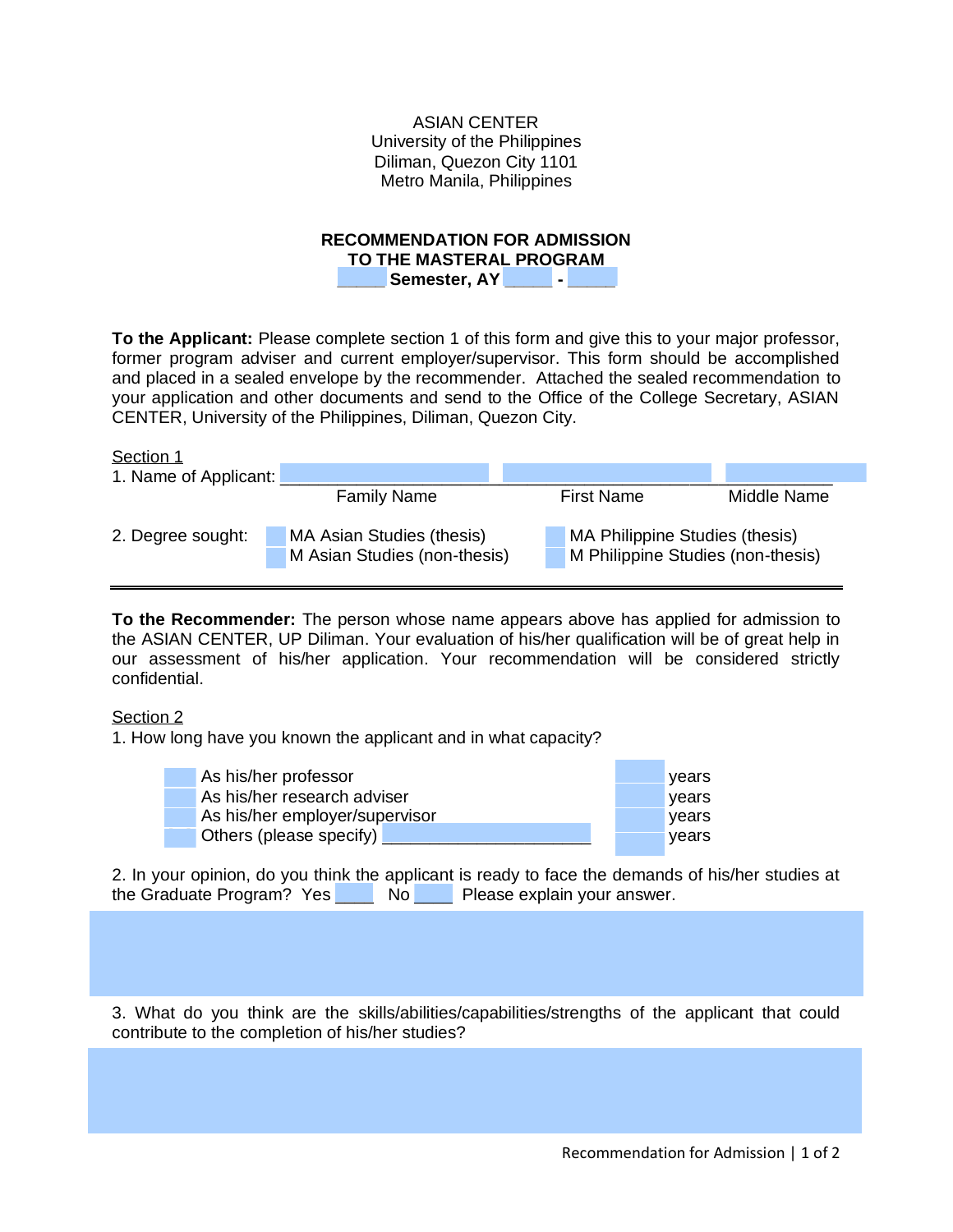ASIAN CENTER University of the Philippines Diliman, Quezon City 1101 Metro Manila, Philippines

## **RECOMMENDATION FOR ADMISSION**

**TO THE MASTERAL PROGRAM**

**\_\_\_\_\_ Semester, AY \_\_\_\_\_ - \_\_\_\_\_**

**To the Applicant:** Please complete section 1 of this form and give this to your major professor, former program adviser and current employer/supervisor. This form should be accomplished and placed in a sealed envelope by the recommender. Attached the sealed recommendation to your application and other documents and send to the Office of the College Secretary, ASIAN CENTER, University of the Philippines, Diliman, Quezon City.

| Section 1             |                                                           |                                                                     |             |
|-----------------------|-----------------------------------------------------------|---------------------------------------------------------------------|-------------|
| 1. Name of Applicant: |                                                           |                                                                     |             |
|                       | <b>Family Name</b>                                        | <b>First Name</b>                                                   | Middle Name |
| 2. Degree sought:     | MA Asian Studies (thesis)<br>M Asian Studies (non-thesis) | MA Philippine Studies (thesis)<br>M Philippine Studies (non-thesis) |             |

**To the Recommender:** The person whose name appears above has applied for admission to the ASIAN CENTER, UP Diliman. Your evaluation of his/her qualification will be of great help in our assessment of his/her application. Your recommendation will be considered strictly confidential.

## Section 2

1. How long have you known the applicant and in what capacity?

| As his/her professor           |  | <b>Vears</b> |
|--------------------------------|--|--------------|
| As his/her research adviser    |  | <b>vears</b> |
| As his/her employer/supervisor |  | vears        |
| Others (please specify)        |  | vears        |

2. In your opinion, do you think the applicant is ready to face the demands of his/her studies at the Graduate Program? Yes No Please explain your answer.  $\mathcal{L}_\mathcal{L} = \mathcal{L}_\mathcal{L} = \mathcal{L}_\mathcal{L} = \mathcal{L}_\mathcal{L} = \mathcal{L}_\mathcal{L} = \mathcal{L}_\mathcal{L} = \mathcal{L}_\mathcal{L} = \mathcal{L}_\mathcal{L} = \mathcal{L}_\mathcal{L} = \mathcal{L}_\mathcal{L} = \mathcal{L}_\mathcal{L} = \mathcal{L}_\mathcal{L} = \mathcal{L}_\mathcal{L} = \mathcal{L}_\mathcal{L} = \mathcal{L}_\mathcal{L} = \mathcal{L}_\mathcal{L} = \mathcal{L}_\mathcal{L}$ 

3. What do you think are the skills/abilities/capabilities/strengths of the applicant that could contribute to the completion of his/her studies?

 $\mathcal{L}_\text{max} = \mathcal{L}_\text{max} = \mathcal{L}_\text{max} = \mathcal{L}_\text{max} = \mathcal{L}_\text{max} = \mathcal{L}_\text{max} = \mathcal{L}_\text{max} = \mathcal{L}_\text{max} = \mathcal{L}_\text{max} = \mathcal{L}_\text{max} = \mathcal{L}_\text{max} = \mathcal{L}_\text{max} = \mathcal{L}_\text{max} = \mathcal{L}_\text{max} = \mathcal{L}_\text{max} = \mathcal{L}_\text{max} = \mathcal{L}_\text{max} = \mathcal{L}_\text{max} = \mathcal{$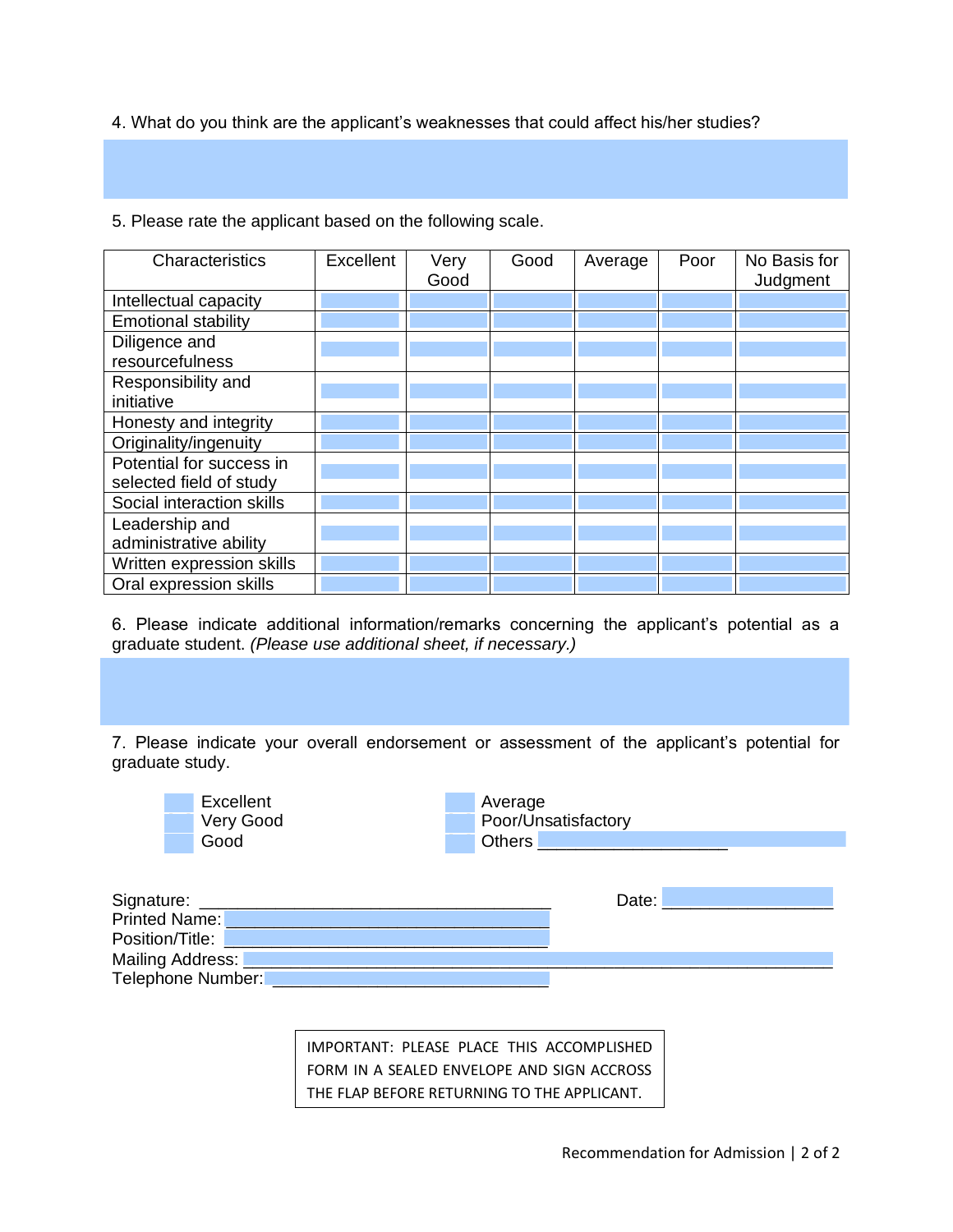4. What do you think are the applicant's weaknesses that could affect his/her studies?

 $\mathcal{L}_\mathcal{L} = \mathcal{L}_\mathcal{L} = \mathcal{L}_\mathcal{L} = \mathcal{L}_\mathcal{L} = \mathcal{L}_\mathcal{L} = \mathcal{L}_\mathcal{L} = \mathcal{L}_\mathcal{L} = \mathcal{L}_\mathcal{L} = \mathcal{L}_\mathcal{L} = \mathcal{L}_\mathcal{L} = \mathcal{L}_\mathcal{L} = \mathcal{L}_\mathcal{L} = \mathcal{L}_\mathcal{L} = \mathcal{L}_\mathcal{L} = \mathcal{L}_\mathcal{L} = \mathcal{L}_\mathcal{L} = \mathcal{L}_\mathcal{L}$ 

5. Please rate the applicant based on the following scale.

| Characteristics            | Excellent | Very<br>Good | Good | Average | Poor | No Basis for<br>Judgment |
|----------------------------|-----------|--------------|------|---------|------|--------------------------|
|                            |           |              |      |         |      |                          |
| Intellectual capacity      |           |              |      |         |      |                          |
| <b>Emotional stability</b> |           |              |      |         |      |                          |
| Diligence and              |           |              |      |         |      |                          |
| resourcefulness            |           |              |      |         |      |                          |
| Responsibility and         |           |              |      |         |      |                          |
| initiative                 |           |              |      |         |      |                          |
| Honesty and integrity      |           |              |      |         |      |                          |
| Originality/ingenuity      |           |              |      |         |      |                          |
| Potential for success in   |           |              |      |         |      |                          |
| selected field of study    |           |              |      |         |      |                          |
| Social interaction skills  |           |              |      |         |      |                          |
| Leadership and             |           |              |      |         |      |                          |
| administrative ability     |           |              |      |         |      |                          |
| Written expression skills  |           |              |      |         |      |                          |
| Oral expression skills     |           |              |      |         |      |                          |

6. Please indicate additional information/remarks concerning the applicant's potential as a graduate student. *(Please use additional sheet, if necessary.)*

 $\mathcal{L}_\mathcal{L} = \mathcal{L}_\mathcal{L} = \mathcal{L}_\mathcal{L} = \mathcal{L}_\mathcal{L} = \mathcal{L}_\mathcal{L} = \mathcal{L}_\mathcal{L} = \mathcal{L}_\mathcal{L} = \mathcal{L}_\mathcal{L} = \mathcal{L}_\mathcal{L} = \mathcal{L}_\mathcal{L} = \mathcal{L}_\mathcal{L} = \mathcal{L}_\mathcal{L} = \mathcal{L}_\mathcal{L} = \mathcal{L}_\mathcal{L} = \mathcal{L}_\mathcal{L} = \mathcal{L}_\mathcal{L} = \mathcal{L}_\mathcal{L}$ 

7. Please indicate your overall endorsement or assessment of the applicant's potential for graduate study.

|                 | Excellent<br>Very Good<br>Good | Average | Poor/Unsatisfactory<br>Others <b>Communication Communication</b> |  |
|-----------------|--------------------------------|---------|------------------------------------------------------------------|--|
|                 | <b>Printed Name:</b>           |         | Date:                                                            |  |
| Position/Title: |                                |         |                                                                  |  |
|                 | Mailing Address: <b>Lewis</b>  |         |                                                                  |  |
|                 | Telephone Number:              |         |                                                                  |  |

IMPORTANT: PLEASE PLACE THIS ACCOMPLISHED FORM IN A SEALED ENVELOPE AND SIGN ACCROSS THE FLAP BEFORE RETURNING TO THE APPLICANT.